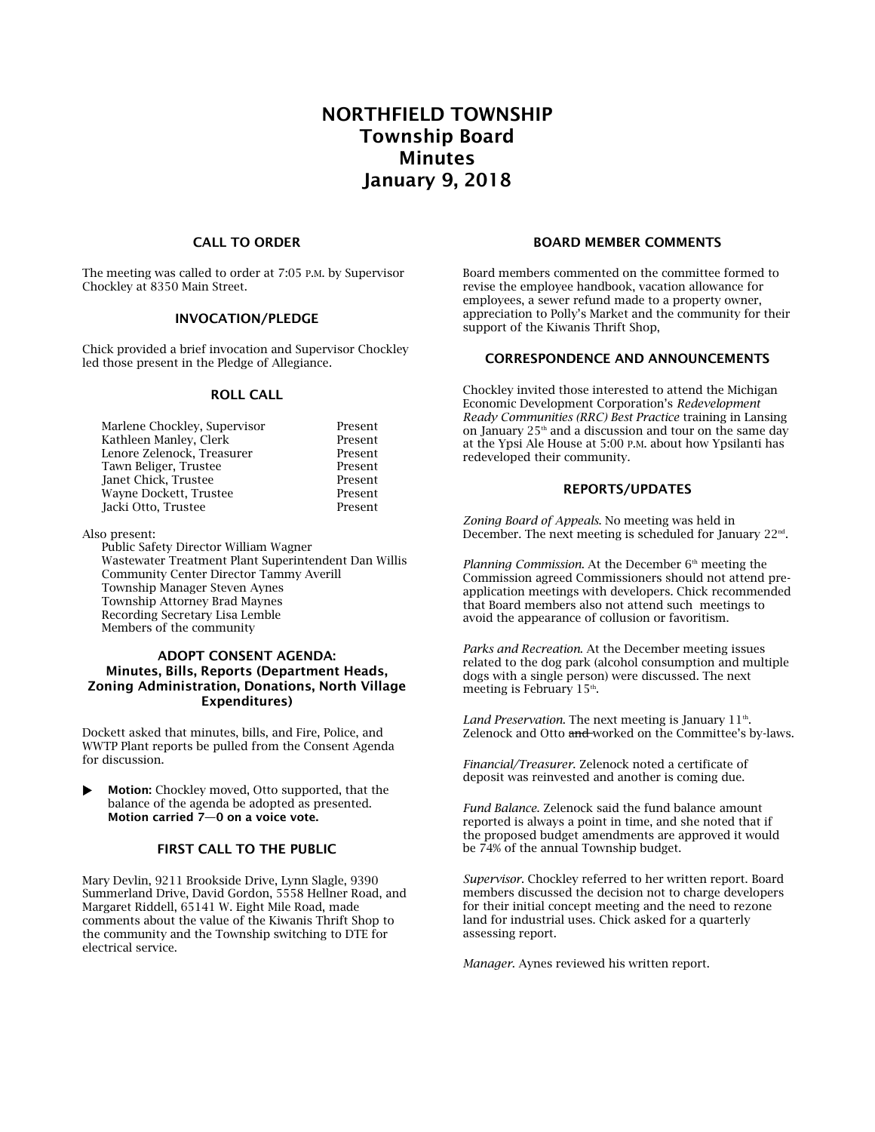# NORTHFIELD TOWNSHIP Township Board Minutes January 9, 2018

#### CALL TO ORDER

The meeting was called to order at 7:05 P.M. by Supervisor Chockley at 8350 Main Street.

## INVOCATION/PLEDGE

Chick provided a brief invocation and Supervisor Chockley led those present in the Pledge of Allegiance.

## ROLL CALL

| Marlene Chockley, Supervisor | Present |
|------------------------------|---------|
| Kathleen Manley, Clerk       | Present |
| Lenore Zelenock, Treasurer   | Present |
| Tawn Beliger, Trustee        | Present |
| Janet Chick, Trustee         | Present |
| Wayne Dockett, Trustee       | Present |
| Jacki Otto, Trustee          | Present |

Also present:

Public Safety Director William Wagner Wastewater Treatment Plant Superintendent Dan Willis Community Center Director Tammy Averill Township Manager Steven Aynes Township Attorney Brad Maynes Recording Secretary Lisa Lemble Members of the community

## ADOPT CONSENT AGENDA: Minutes, Bills, Reports (Department Heads, Zoning Administration, Donations, North Village Expenditures)

Dockett asked that minutes, bills, and Fire, Police, and WWTP Plant reports be pulled from the Consent Agenda for discussion.

 Motion: Chockley moved, Otto supported, that the balance of the agenda be adopted as presented. Motion carried 7—0 on a voice vote.

# FIRST CALL TO THE PUBLIC

Mary Devlin, 9211 Brookside Drive, Lynn Slagle, 9390 Summerland Drive, David Gordon, 5558 Hellner Road, and Margaret Riddell, 65141 W. Eight Mile Road, made comments about the value of the Kiwanis Thrift Shop to the community and the Township switching to DTE for electrical service.

#### BOARD MEMBER COMMENTS

Board members commented on the committee formed to revise the employee handbook, vacation allowance for employees, a sewer refund made to a property owner, appreciation to Polly's Market and the community for their support of the Kiwanis Thrift Shop,

#### CORRESPONDENCE AND ANNOUNCEMENTS

Chockley invited those interested to attend the Michigan Economic Development Corporation's *Redevelopment Ready Communities (RRC) Best Practice* training in Lansing on January  $25<sup>th</sup>$  and a discussion and tour on the same day at the Ypsi Ale House at 5:00 P.M. about how Ypsilanti has redeveloped their community.

#### REPORTS/UPDATES

*Zoning Board of Appeals*. No meeting was held in December. The next meeting is scheduled for January 22nd .

*Planning Commission*. At the December 6<sup>th</sup> meeting the Commission agreed Commissioners should not attend preapplication meetings with developers. Chick recommended that Board members also not attend such meetings to avoid the appearance of collusion or favoritism.

*Parks and Recreation*. At the December meeting issues related to the dog park (alcohol consumption and multiple dogs with a single person) were discussed. The next meeting is February  $15<sup>th</sup>$ .

Land Preservation. The next meeting is January 11<sup>th</sup>. Zelenock and Otto and worked on the Committee's by-laws.

*Financial/Treasurer*. Zelenock noted a certificate of deposit was reinvested and another is coming due.

*Fund Balance*. Zelenock said the fund balance amount reported is always a point in time, and she noted that if the proposed budget amendments are approved it would be 74% of the annual Township budget.

*Supervisor*. Chockley referred to her written report. Board members discussed the decision not to charge developers for their initial concept meeting and the need to rezone land for industrial uses. Chick asked for a quarterly assessing report.

*Manager*. Aynes reviewed his written report.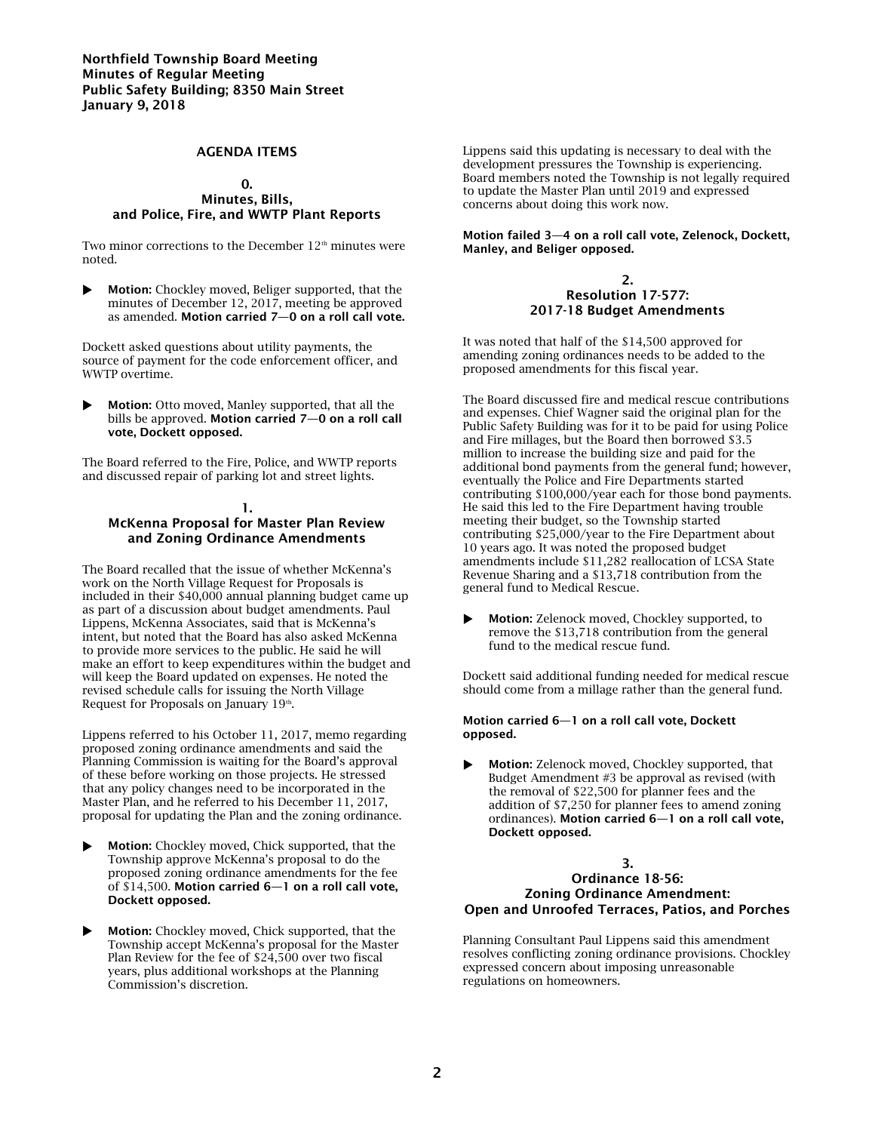## AGENDA ITEMS

#### 0.

## Minutes, Bills, and Police, Fire, and WWTP Plant Reports

Two minor corrections to the December  $12<sup>th</sup>$  minutes were noted.

 Motion: Chockley moved, Beliger supported, that the minutes of December 12, 2017, meeting be approved as amended. Motion carried 7—0 on a roll call vote.

Dockett asked questions about utility payments, the source of payment for the code enforcement officer, and WWTP overtime.

 Motion: Otto moved, Manley supported, that all the bills be approved. Motion carried 7—0 on a roll call vote, Dockett opposed.

The Board referred to the Fire, Police, and WWTP reports and discussed repair of parking lot and street lights.

#### 1. McKenna Proposal for Master Plan Review and Zoning Ordinance Amendments

The Board recalled that the issue of whether McKenna's work on the North Village Request for Proposals is included in their \$40,000 annual planning budget came up as part of a discussion about budget amendments. Paul Lippens, McKenna Associates, said that is McKenna's intent, but noted that the Board has also asked McKenna to provide more services to the public. He said he will make an effort to keep expenditures within the budget and will keep the Board updated on expenses. He noted the revised schedule calls for issuing the North Village Request for Proposals on January 19<sup>th</sup>.

Lippens referred to his October 11, 2017, memo regarding proposed zoning ordinance amendments and said the Planning Commission is waiting for the Board's approval of these before working on those projects. He stressed that any policy changes need to be incorporated in the Master Plan, and he referred to his December 11, 2017, proposal for updating the Plan and the zoning ordinance.

- Motion: Chockley moved, Chick supported, that the Township approve McKenna's proposal to do the proposed zoning ordinance amendments for the fee of \$14,500. Motion carried 6—1 on a roll call vote, Dockett opposed.
- **Motion:** Chockley moved, Chick supported, that the Township accept McKenna's proposal for the Master Plan Review for the fee of \$24,500 over two fiscal years, plus additional workshops at the Planning Commission's discretion.

Lippens said this updating is necessary to deal with the development pressures the Township is experiencing. Board members noted the Township is not legally required to update the Master Plan until 2019 and expressed concerns about doing this work now.

Motion failed 3—4 on a roll call vote, Zelenock, Dockett, Manley, and Beliger opposed.

#### $\overline{2}$ Resolution 17-577: 2017-18 Budget Amendments

It was noted that half of the \$14,500 approved for amending zoning ordinances needs to be added to the proposed amendments for this fiscal year.

The Board discussed fire and medical rescue contributions and expenses. Chief Wagner said the original plan for the Public Safety Building was for it to be paid for using Police and Fire millages, but the Board then borrowed \$3.5 million to increase the building size and paid for the additional bond payments from the general fund; however, eventually the Police and Fire Departments started contributing \$100,000/year each for those bond payments. He said this led to the Fire Department having trouble meeting their budget, so the Township started contributing \$25,000/year to the Fire Department about 10 years ago. It was noted the proposed budget amendments include \$11,282 reallocation of LCSA State Revenue Sharing and a \$13,718 contribution from the general fund to Medical Rescue.

 Motion: Zelenock moved, Chockley supported, to remove the \$13,718 contribution from the general fund to the medical rescue fund.

Dockett said additional funding needed for medical rescue should come from a millage rather than the general fund.

#### Motion carried 6—1 on a roll call vote, Dockett opposed.

**Motion:** Zelenock moved, Chockley supported, that Budget Amendment #3 be approval as revised (with the removal of \$22,500 for planner fees and the addition of \$7,250 for planner fees to amend zoning ordinances). Motion carried 6—1 on a roll call vote, Dockett opposed.

## 3. Ordinance 18-56: Zoning Ordinance Amendment: Open and Unroofed Terraces, Patios, and Porches

Planning Consultant Paul Lippens said this amendment resolves conflicting zoning ordinance provisions. Chockley expressed concern about imposing unreasonable regulations on homeowners.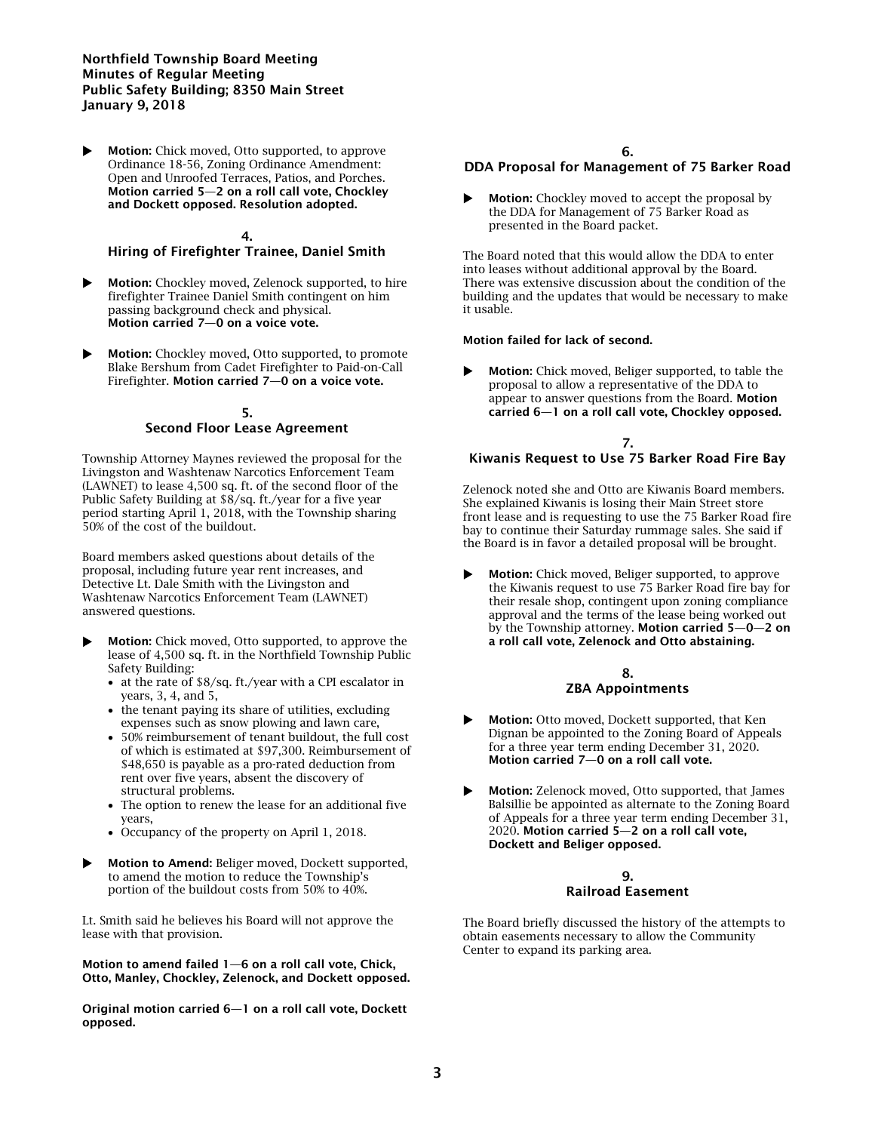## Northfield Township Board Meeting Minutes of Regular Meeting Public Safety Building; 8350 Main Street January 9, 2018

 Motion: Chick moved, Otto supported, to approve Ordinance 18-56, Zoning Ordinance Amendment: Open and Unroofed Terraces, Patios, and Porches. Motion carried 5—2 on a roll call vote, Chockley and Dockett opposed. Resolution adopted.

## 4. Hiring of Firefighter Trainee, Daniel Smith

- Motion: Chockley moved, Zelenock supported, to hire firefighter Trainee Daniel Smith contingent on him passing background check and physical. Motion carried 7—0 on a voice vote.
- Motion: Chockley moved, Otto supported, to promote Blake Bershum from Cadet Firefighter to Paid-on-Call Firefighter. Motion carried 7—0 on a voice vote.

#### 5. Second Floor Lease Agreement

Township Attorney Maynes reviewed the proposal for the Livingston and Washtenaw Narcotics Enforcement Team (LAWNET) to lease 4,500 sq. ft. of the second floor of the Public Safety Building at \$8/sq. ft./year for a five year period starting April 1, 2018, with the Township sharing 50% of the cost of the buildout.

Board members asked questions about details of the proposal, including future year rent increases, and Detective Lt. Dale Smith with the Livingston and Washtenaw Narcotics Enforcement Team (LAWNET) answered questions.

- Motion: Chick moved, Otto supported, to approve the lease of 4,500 sq. ft. in the Northfield Township Public Safety Building:
	- at the rate of \$8/sq. ft./year with a CPI escalator in years, 3, 4, and 5,
	- the tenant paying its share of utilities, excluding expenses such as snow plowing and lawn care,
	- 50% reimbursement of tenant buildout, the full cost of which is estimated at \$97,300. Reimbursement of \$48,650 is payable as a pro-rated deduction from rent over five years, absent the discovery of structural problems.
	- The option to renew the lease for an additional five years,
	- Occupancy of the property on April 1, 2018.
- Motion to Amend: Beliger moved, Dockett supported, to amend the motion to reduce the Township's portion of the buildout costs from 50% to 40%.

Lt. Smith said he believes his Board will not approve the lease with that provision.

Motion to amend failed 1—6 on a roll call vote, Chick, Otto, Manley, Chockley, Zelenock, and Dockett opposed.

Original motion carried 6—1 on a roll call vote, Dockett opposed.

## 6.

# DDA Proposal for Management of 75 Barker Road

 Motion: Chockley moved to accept the proposal by the DDA for Management of 75 Barker Road as presented in the Board packet.

The Board noted that this would allow the DDA to enter into leases without additional approval by the Board. There was extensive discussion about the condition of the building and the updates that would be necessary to make it usable.

#### Motion failed for lack of second.

 Motion: Chick moved, Beliger supported, to table the proposal to allow a representative of the DDA to appear to answer questions from the Board. Motion carried 6—1 on a roll call vote, Chockley opposed.

#### 7. Kiwanis Request to Use 75 Barker Road Fire Bay

Zelenock noted she and Otto are Kiwanis Board members. She explained Kiwanis is losing their Main Street store front lease and is requesting to use the 75 Barker Road fire bay to continue their Saturday rummage sales. She said if the Board is in favor a detailed proposal will be brought.

 Motion: Chick moved, Beliger supported, to approve the Kiwanis request to use 75 Barker Road fire bay for their resale shop, contingent upon zoning compliance approval and the terms of the lease being worked out by the Township attorney. Motion carried 5—0—2 on a roll call vote, Zelenock and Otto abstaining.

## 8. ZBA Appointments

- Motion: Otto moved, Dockett supported, that Ken Dignan be appointed to the Zoning Board of Appeals for a three year term ending December 31, 2020. Motion carried 7—0 on a roll call vote.
- **Motion:** Zelenock moved, Otto supported, that James Balsillie be appointed as alternate to the Zoning Board of Appeals for a three year term ending December 31, 2020. Motion carried 5—2 on a roll call vote, Dockett and Beliger opposed.

## 9. Railroad Easement

The Board briefly discussed the history of the attempts to obtain easements necessary to allow the Community Center to expand its parking area.